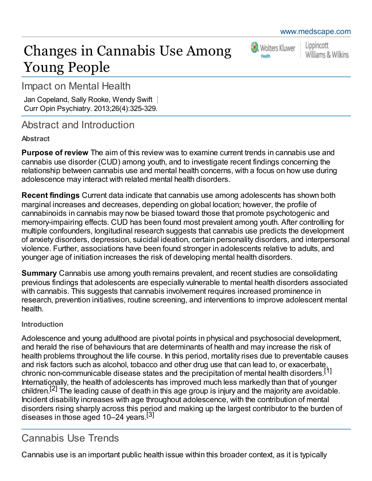# Changes in Cannabis Use Among Young People

**Wolters Kluwer** 

Lippincott Williams & Wilkins

Impact on Mental Health

Jan Copeland, Sally Rooke, Wendy Swift Curr Opin Psychiatry. 2013;26(4):325-329.

## Abstract and Introduction

**Abstract** 

Purpose of review The aim of this review was to examine current trends in cannabis use and cannabis use disorder (CUD) among youth, and to investigate recent findings concerning the relationship between cannabis use and mental health concerns, with a focus on how use during adolescence may interact with related mental health disorders.

Recent findings Current data indicate that cannabis use among adolescents has shown both marginal increases and decreases, depending on global location; however, the profile of cannabinoids in cannabis may now be biased toward those that promote psychotogenic and memory-impairing effects. CUD has been found most prevalent among youth. After controlling for multiple confounders, longitudinal research suggests that cannabis use predicts the development of anxiety disorders, depression, suicidal ideation, certain personality disorders, and interpersonal violence. Further, associations have been found stronger in adolescents relative to adults, and younger age of initiation increases the risk of developing mental health disorders.

Summary Cannabis use among youth remains prevalent, and recent studies are consolidating previous findings that adolescents are especially vulnerable to mental health disorders associated with cannabis. This suggests that cannabis involvement requires increased prominence in research, prevention initiatives, routine screening, and interventions to improve adolescent mental health.

### Introduction

Adolescence and young adulthood are pivotal points in physical and psychosocial development, and herald the rise of behaviours that are determinants of health and may increase the risk of health problems throughout the life course. In this period, mortality rises due to preventable causes and risk factors such as alcohol, tobacco and other drug use that can lead to, or exacerbate, chronic non-communicable disease states and the precipitation of mental health disorders.<sup>[1]</sup> Internationally, the health of adolescents has improved much less markedly than that of younger children.<sup>[2]</sup> The leading cause of death in this age group is injury and the majority are avoidable. Incident disability increases with age throughout adolescence, with the contribution of mental disorders rising sharply across this period and making up the largest contributor to the burden of diseases in those aged 10–24 years.<sup>[3]</sup>

# Cannabis Use Trends

Cannabis use is an important public health issue within this broader context, as it is typically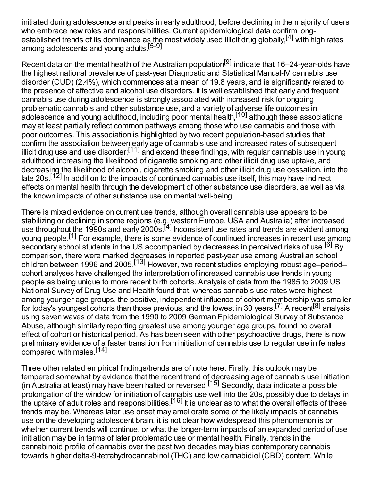initiated during adolescence and peaks in early adulthood, before declining in the majority of users who embrace new roles and responsibilities. Current epidemiological data confirm longestablished trends of its dominance as the most widely used illicit drug globally,<sup>[4]</sup> with high rates among adolescents and young adults.<sup>[5-9]</sup>

Recent data on the mental health of the Australian population<sup>[9]</sup> indicate that 16–24-year-olds have the highest national prevalence of past-year Diagnostic and Statistical Manual-IV cannabis use disorder (CUD) (2.4%), which commences at a mean of 19.8 years, and is significantly related to the presence of affective and alcohol use disorders. It is well established that early and frequent cannabis use during adolescence is strongly associated with increased risk for ongoing problematic cannabis and other substance use, and a variety of adverse life outcomes in adolescence and young adulthood, including poor mental health,<sup>[10]</sup> although these associations may at least partially reflect common pathways among those who use cannabis and those with poor outcomes. This association is highlighted by two recent population-based studies that confirm the association between early age of cannabis use and increased rates of subsequent illicit drug use and use disorder;<sup>[11]</sup> and extend these findings, with regular cannabis use in young adulthood increasing the likelihood of cigarette smoking and other illicit drug use uptake, and decreasing the likelihood of alcohol, cigarette smoking and other illicit drug use cessation, into the late 20s.<sup>[12]</sup> In addition to the impacts of continued cannabis use itself, this may have indirect effects on mental health through the development of other substance use disorders, as well as via the known impacts of other substance use on mental well-being.

There is mixed evidence on current use trends, although overall cannabis use appears to be stabilizing or declining in some regions (e.g. western Europe, USA and Australia) after increased use throughout the 1990s and early 2000s.<sup>[4]</sup> Inconsistent use rates and trends are evident among young people.<sup>[1]</sup> For example, there is some evidence of continued increases in recent use among secondary school students in the US accompanied by decreases in perceived risks of use.<sup>[6]</sup> By comparison, there were marked decreases in reported past-year use among Australian school children between 1996 and 2005.<sup>[13]</sup> However, two recent studies employing robust age–period– cohort analyses have challenged the interpretation of increased cannabis use trends in young people as being unique to more recent birth cohorts. Analysis of data from the 1985 to 2009 US National Survey of Drug Use and Health found that, whereas cannabis use rates were highest among younger age groups, the positive, independent influence of cohort membership was smaller for today's youngest cohorts than those previous, and the lowest in 30 years.<sup>[7]</sup> A recent<sup>[8]</sup> analysis using seven waves of data from the 1990 to 2009 German Epidemiological Survey of Substance Abuse, although similarly reporting greatest use among younger age groups, found no overall effect of cohort or historical period. As has been seen with other psychoactive drugs, there is now preliminary evidence of a faster transition from initiation of cannabis use to regular use in females compared with males.<sup>[14]</sup>

Three other related empirical findings/trends are of note here. Firstly, this outlook may be tempered somewhat by evidence that the recent trend of decreasing age of cannabis use initiation (in Australia at least) may have been halted or reversed. [15] Secondly, data indicate a possible prolongation of the window for initiation of cannabis use well into the 20s, possibly due to delays in the uptake of adult roles and responsibilities.<sup>[16]</sup> It is unclear as to what the overall effects of these trends may be. Whereas later use onset may ameliorate some of the likely impacts of cannabis use on the developing adolescent brain, it is not clear how widespread this phenomenon is or whether current trends will continue, or what the longer-term impacts of an expanded period of use initiation may be in terms of later problematic use or mental health. Finally, trends in the cannabinoid profile of cannabis over the past two decades may bias contemporary cannabis towards higher delta-9-tetrahydrocannabinol (THC) and low cannabidiol (CBD) content. While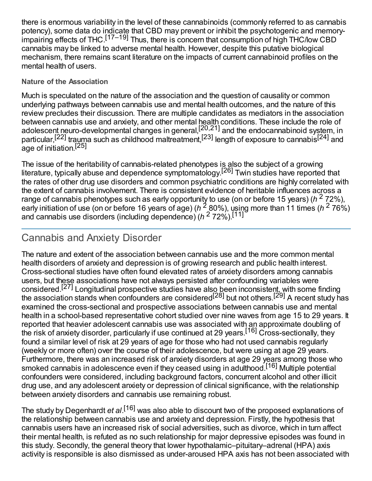there is enormous variability in the level of these cannabinoids (commonly referred to as cannabis potency), some data do indicate that CBD may prevent or inhibit the psychotogenic and memoryimpairing effects of THC.<sup>[17–19]</sup> Thus, there is concern that consumption of high THC/low CBD cannabis may be linked to adverse mental health. However, despite this putative biological mechanism, there remains scant literature on the impacts of current cannabinoid profiles on the mental health of users.

### Nature of the Association

Much is speculated on the nature of the association and the question of causality or common underlying pathways between cannabis use and mental health outcomes, and the nature of this review precludes their discussion. There are multiple candidates as mediators in the association between cannabis use and anxiety, and other mental health conditions. These include the role of adolescent neuro-developmental changes in general,  $[20,21]$  and the endocannabinoid system, in particular,<sup>[22]</sup> trauma such as childhood maltreatment,<sup>[23]</sup> length of exposure to cannabis<sup>[24]</sup> and age of initiation.<sup>[25]</sup>

The issue of the heritability of cannabis-related phenotypes is also the subject of a growing literature, typically abuse and dependence symptomatology.<sup>[26]</sup> Twin studies have reported that the rates of other drug use disorders and common psychiatric conditions are highly correlated with the extent of cannabis involvement. There is consistent evidence of heritable influences across a range of cannabis phenotypes such as early opportunity to use (on or before 15 years) (h<sup>2</sup> 72%), early initiation of use (on or before 16 years of age) ( $h^2$  80%), using more than 11 times ( $h^2$  76%) and cannabis use disorders (including dependence) ( $h^2$  72%).<sup>[11]</sup>

# Cannabis and Anxiety Disorder

The nature and extent of the association between cannabis use and the more common mental health disorders of anxiety and depression is of growing research and public health interest. Cross-sectional studies have often found elevated rates of anxiety disorders among cannabis users, but these associations have not always persisted after confounding variables were considered.<sup>[27]</sup> Longitudinal prospective studies have also been inconsistent, with some finding the association stands when confounders are considered<sup>[28]</sup> but not others.<sup>[29]</sup> A recent study has examined the cross-sectional and prospective associations between cannabis use and mental health in a school-based representative cohort studied over nine waves from age 15 to 29 years. It reported that heavier adolescent cannabis use was associated with an approximate doubling of the risk of anxiety disorder, particularly if use continued at 29 years.<sup>[16]</sup> Cross-sectionally, they found a similar level of risk at 29 years of age for those who had not used cannabis regularly (weekly or more often) over the course of their adolescence, but were using at age 29 years. Furthermore, there was an increased risk of anxiety disorders at age 29 years among those who smoked cannabis in adolescence even if they ceased using in adulthood.<sup>[16]</sup> Multiple potential confounders were considered, including background factors, concurrent alcohol and other illicit drug use, and any adolescent anxiety or depression of clinical significance, with the relationship between anxiety disorders and cannabis use remaining robust.

The study by Degenhardt e*t al*.<sup>[16]</sup> was also able to discount two of the proposed explanations of the relationship between cannabis use and anxiety and depression. Firstly, the hypothesis that cannabis users have an increased risk of social adversities, such as divorce, which in turn affect their mental health, is refuted as no such relationship for major depressive episodes was found in this study. Secondly, the general theory that lower hypothalamic–pituitary–adrenal (HPA) axis activity is responsible is also dismissed as under-aroused HPA axis has not been associated with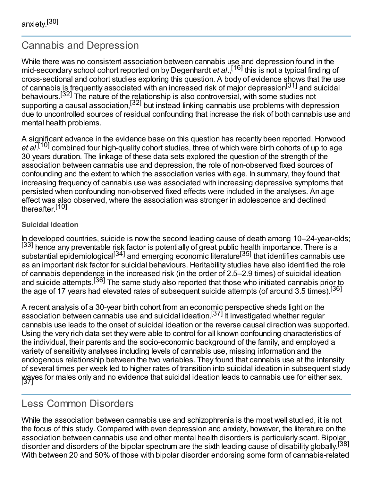### Cannabis and Depression

While there was no consistent association between cannabis use and depression found in the mid-secondary school cohort reported on by Degenhardt et al.,<sup>[16]</sup> this is not a typical finding of cross-sectional and cohort studies exploring this question. A body of evidence shows that the use of cannabis is frequently associated with an increased risk of major depression<sup>[31]</sup> and suicidal behaviours.<sup>[32]</sup> The nature of the relationship is also controversial, with some studies not supporting a causal association,<sup>[32]</sup> but instead linking cannabis use problems with depression due to uncontrolled sources of residual confounding that increase the risk of both cannabis use and mental health problems.

A significant advance in the evidence base on this question has recently been reported. Horwood et al.<sup>[10]</sup> combined four high-quality cohort studies, three of which were birth cohorts of up to age 30 years duration. The linkage of these data sets explored the question of the strength of the association between cannabis use and depression, the role of non-observed fixed sources of confounding and the extent to which the association varies with age. In summary, they found that increasing frequency of cannabis use was associated with increasing depressive symptoms that persisted when confounding non-observed fixed effects were included in the analyses. An age effect was also observed, where the association was stronger in adolescence and declined thereafter.<sup>[10]</sup>

### Suicidal Ideation

In developed countries, suicide is now the second leading cause of death among 10–24-year-olds; [33] hence any preventable risk factor is potentially of great public health importance. There is a substantial epidemiological<sup>[34]</sup> and emerging economic literature<sup>[35]</sup> that identifies cannabis use as an important risk factor for suicidal behaviours. Heritability studies have also identified the role of cannabis dependence in the increased risk (in the order of 2.5–2.9 times) of suicidal ideation and suicide attempts.<sup>[36]</sup> The same study also reported that those who initiated cannabis prior to the age of 17 years had elevated rates of subsequent suicide attempts (of around 3.5 times).<sup>[36]</sup>

A recent analysis of a 30-year birth cohort from an economic perspective sheds light on the association between cannabis use and suicidal ideation.<sup>[37]</sup> it investigated whether regular cannabis use leads to the onset of suicidal ideation or the reverse causal direction was supported. Using the very rich data set they were able to control for all known confounding characteristics of the individual, their parents and the socio-economic background of the family, and employed a variety of sensitivity analyses including levels of cannabis use, missing information and the endogenous relationship between the two variables. They found that cannabis use at the intensity of several times per week led to higher rates of transition into suicidal ideation in subsequent study waves for males only and no evidence that suicidal ideation leads to cannabis use for either sex. [37]

### Less Common Disorders

While the association between cannabis use and schizophrenia is the most well studied, it is not the focus of this study. Compared with even depression and anxiety, however, the literature on the association between cannabis use and other mental health disorders is particularly scant. Bipolar disorder and disorders of the bipolar spectrum are the sixth leading cause of disability globally.<sup>[38]</sup> With between 20 and 50% of those with bipolar disorder endorsing some form of cannabis-related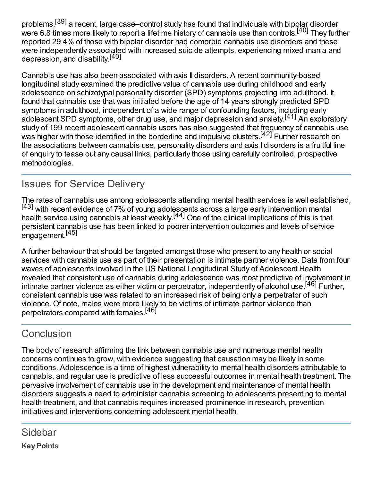problems,<sup>[39]</sup> a recent, large case–control study has found that individuals with bipolar disorder were 6.8 times more likely to report a lifetime history of cannabis use than controls. [40] They further reported 29.4% of those with bipolar disorder had comorbid cannabis use disorders and these were independently associated with increased suicide attempts, experiencing mixed mania and depression, and disability.<sup>[40]</sup>

Cannabis use has also been associated with axis II disorders. A recent community-based longitudinal study examined the predictive value of cannabis use during childhood and early adolescence on schizotypal personality disorder (SPD) symptoms projecting into adulthood. It found that cannabis use that was initiated before the age of 14 years strongly predicted SPD symptoms in adulthood, independent of a wide range of confounding factors, including early adolescent SPD symptoms, other drug use, and major depression and anxiety.<sup>[41]</sup> An exploratory study of 199 recent adolescent cannabis users has also suggested that frequency of cannabis use was higher with those identified in the borderline and impulsive clusters.<sup>[42]'</sup>Further research on the associations between cannabis use, personality disorders and axis I disorders is a fruitful line of enquiry to tease out any causal links, particularly those using carefully controlled, prospective methodologies.

# Issues for Service Delivery

The rates of cannabis use among adolescents attending mental health services is well established, [43] with recent evidence of 7% of young adolescents across a large early intervention mental health service using cannabis at least weekly.<sup>[44]</sup> One of the clinical implications of this is that persistent cannabis use has been linked to poorer intervention outcomes and levels of service .<br>engagement.<sup>[45]</sup>

A further behaviour that should be targeted amongst those who present to any health or social services with cannabis use as part of their presentation is intimate partner violence. Data from four waves of adolescents involved in the US National Longitudinal Study of Adolescent Health revealed that consistent use of cannabis during adolescence was most predictive of involvement in intimate partner violence as either victim or perpetrator, independently of alcohol use.<sup>[46]</sup> Further, consistent cannabis use was related to an increased risk of being only a perpetrator of such violence. Of note, males were more likely to be victims of intimate partner violence than perpetrators compared with females. [46]

### **Conclusion**

The body of research affirming the link between cannabis use and numerous mental health concerns continues to grow, with evidence suggesting that causation may be likely in some conditions. Adolescence is a time of highest vulnerability to mental health disorders attributable to cannabis, and regular use is predictive of less successful outcomes in mental health treatment. The pervasive involvement of cannabis use in the development and maintenance of mental health disorders suggests a need to administer cannabis screening to adolescents presenting to mental health treatment, and that cannabis requires increased prominence in research, prevention initiatives and interventions concerning adolescent mental health.

Sidebar Key Points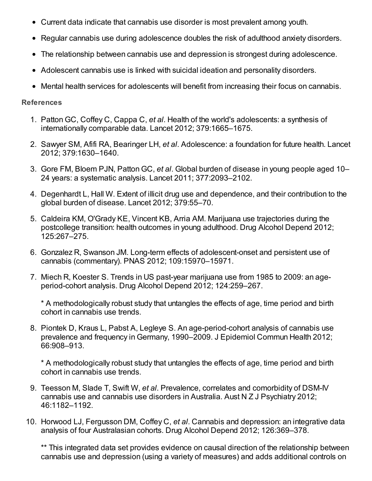- Current data indicate that cannabis use disorder is most prevalent among youth.
- Regular cannabis use during adolescence doubles the risk of adulthood anxiety disorders.
- The relationship between cannabis use and depression is strongest during adolescence.
- Adolescent cannabis use is linked with suicidal ideation and personality disorders.
- Mental health services for adolescents will benefit from increasing their focus on cannabis.

#### References

- 1. Patton GC, Coffey C, Cappa C, et al. Health of the world's adolescents: a synthesis of internationally comparable data. Lancet 2012; 379:1665–1675.
- 2. Sawyer SM, Afifi RA, Bearinger LH, et al. Adolescence: a foundation for future health. Lancet 2012; 379:1630–1640.
- 3. Gore FM, Bloem PJN, Patton GC, et al. Global burden of disease in young people aged 10– 24 years: a systematic analysis. Lancet 2011; 377:2093–2102.
- 4. Degenhardt L, Hall W. Extent of illicit drug use and dependence, and their contribution to the global burden of disease. Lancet 2012; 379:55–70.
- 5. Caldeira KM, O'Grady KE, Vincent KB, Arria AM. Marijuana use trajectories during the postcollege transition: health outcomes in young adulthood. Drug Alcohol Depend 2012; 125:267–275.
- 6. Gonzalez R, Swanson JM. Long-term effects of adolescent-onset and persistent use of cannabis (commentary). PNAS 2012; 109:15970–15971.
- 7. Miech R, Koester S. Trends in US past-year marijuana use from 1985 to 2009: an ageperiod-cohort analysis. Drug Alcohol Depend 2012; 124:259–267.

\* A methodologically robust study that untangles the effects of age, time period and birth cohort in cannabis use trends.

8. Piontek D, Kraus L, Pabst A, Legleye S. An age-period-cohort analysis of cannabis use prevalence and frequency in Germany, 1990–2009. J Epidemiol Commun Health 2012; 66:908–913.

\* A methodologically robust study that untangles the effects of age, time period and birth cohort in cannabis use trends.

- 9. Teesson M, Slade T, Swift W, et al. Prevalence, correlates and comorbidity of DSM-IV cannabis use and cannabis use disorders in Australia. Aust N Z J Psychiatry 2012; 46:1182–1192.
- 10. Horwood LJ, Fergusson DM, Coffey C, et al. Cannabis and depression: an integrative data analysis of four Australasian cohorts. Drug Alcohol Depend 2012; 126:369–378.

\*\* This integrated data set provides evidence on causal direction of the relationship between cannabis use and depression (using a variety of measures) and adds additional controls on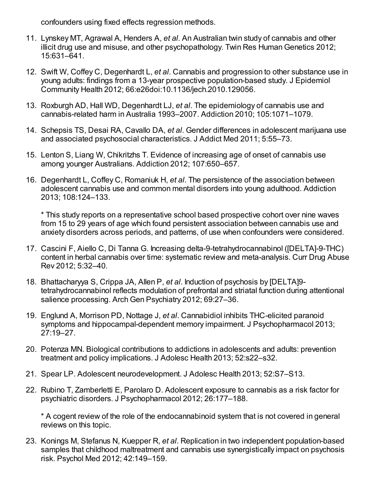confounders using fixed effects regression methods.

- 11. Lynskey MT, Agrawal A, Henders A, et al. An Australian twin study of cannabis and other illicit drug use and misuse, and other psychopathology. Twin Res Human Genetics 2012; 15:631–641.
- 12. Swift W, Coffey C, Degenhardt L, et al. Cannabis and progression to other substance use in young adults: findings from a 13-year prospective population-based study. J Epidemiol Community Health 2012; 66:e26doi:10.1136/jech.2010.129056.
- 13. Roxburgh AD, Hall WD, Degenhardt LJ, et al. The epidemiology of cannabis use and cannabis-related harm in Australia 1993–2007. Addiction 2010; 105:1071–1079.
- 14. Schepsis TS, Desai RA, Cavallo DA, et al. Gender differences in adolescent marijuana use and associated psychosocial characteristics. J Addict Med 2011; 5:55–73.
- 15. Lenton S, Liang W, Chikritzhs T. Evidence of increasing age of onset of cannabis use among younger Australians. Addiction 2012; 107:650–657.
- 16. Degenhardt L, Coffey C, Romaniuk H, et al. The persistence of the association between adolescent cannabis use and common mental disorders into young adulthood. Addiction 2013; 108:124–133.

\* This study reports on a representative school based prospective cohort over nine waves from 15 to 29 years of age which found persistent association between cannabis use and anxiety disorders across periods, and patterns, of use when confounders were considered.

- 17. Cascini F, Aiello C, Di Tanna G. Increasing delta-9-tetrahydrocannabinol ([DELTA]-9-THC) content in herbal cannabis over time: systematic review and meta-analysis. Curr Drug Abuse Rev 2012; 5:32–40.
- 18. Bhattacharyya S, Crippa JA, Allen P, et al. Induction of psychosis by [DELTA]9 tetrahydrocannabinol reflects modulation of prefrontal and striatal function during attentional salience processing. Arch Gen Psychiatry 2012; 69:27–36.
- 19. Englund A, Morrison PD, Nottage J, et al. Cannabidiol inhibits THC-elicited paranoid symptoms and hippocampal-dependent memory impairment. J Psychopharmacol 2013; 27:19–27.
- 20. Potenza MN. Biological contributions to addictions in adolescents and adults: prevention treatment and policy implications. J Adolesc Health 2013; 52:s22–s32.
- 21. Spear LP. Adolescent neurodevelopment. J Adolesc Health 2013; 52:S7–S13.
- 22. Rubino T, Zamberletti E, Parolaro D. Adolescent exposure to cannabis as a risk factor for psychiatric disorders. J Psychopharmacol 2012; 26:177–188.

\* A cogent review of the role of the endocannabinoid system that is not covered in general reviews on this topic.

23. Konings M, Stefanus N, Kuepper R, et al. Replication in two independent population-based samples that childhood maltreatment and cannabis use synergistically impact on psychosis risk. Psychol Med 2012; 42:149–159.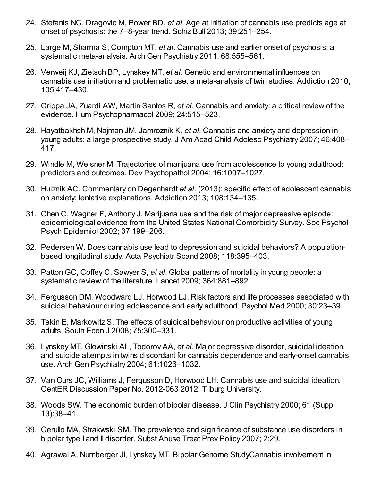- 24. Stefanis NC, Dragovic M, Power BD, et al. Age at initiation of cannabis use predicts age at onset of psychosis: the 7–8-year trend. Schiz Bull 2013; 39:251–254.
- 25. Large M, Sharma S, Compton MT, et al. Cannabis use and earlier onset of psychosis: a systematic meta-analysis. Arch Gen Psychiatry 2011; 68:555–561.
- 26. Verweij KJ, Zietsch BP, Lynskey MT, et al. Genetic and environmental influences on cannabis use initiation and problematic use: a meta-analysis of twin studies. Addiction 2010; 105:417–430.
- 27. Crippa JA, Zuardi AW, Martin Santos R, et al. Cannabis and anxiety: a critical review of the evidence. Hum Psychopharmacol 2009; 24:515–523.
- 28. Hayatbakhsh M, Najman JM, Jamroznik K, et al. Cannabis and anxiety and depression in young adults: a large prospective study. J Am Acad Child Adolesc Psychiatry 2007; 46:408– 417.
- 29. Windle M, Weisner M. Trajectories of marijuana use from adolescence to young adulthood: predictors and outcomes. Dev Psychopathol 2004; 16:1007–1027.
- 30. Huiznik AC. Commentary on Degenhardt et al. (2013): specific effect of adolescent cannabis on anxiety: tentative explanations. Addiction 2013; 108:134–135.
- 31. Chen C, Wagner F, Anthony J. Marijuana use and the risk of major depressive episode: epidemiological evidence from the United States National Comorbidity Survey. Soc Psychol Psych Epidemiol 2002; 37:199–206.
- 32. Pedersen W. Does cannabis use lead to depression and suicidal behaviors? A populationbased longitudinal study. Acta Psychiatr Scand 2008; 118:395–403.
- 33. Patton GC, Coffey C, Sawyer S, et al. Global patterns of mortality in young people: a systematic review of the literature. Lancet 2009; 364:881–892.
- 34. Fergusson DM, Woodward LJ, Horwood LJ. Risk factors and life processes associated with suicidal behaviour during adolescence and early adulthood. Psychol Med 2000; 30:23–39.
- 35. Tekin E, Markowitz S. The effects of suicidal behaviour on productive activities of young adults. South Econ J 2008; 75:300–331.
- 36. Lynskey MT, Glowinski AL, Todorov AA, et al. Major depressive disorder, suicidal ideation, and suicide attempts in twins discordant for cannabis dependence and early-onset cannabis use. Arch Gen Psychiatry 2004; 61:1026–1032.
- 37. Van Ours JC, Williams J, Fergusson D, Horwood LH. Cannabis use and suicidal ideation. CentER Discussion Paper No. 2012-063 2012; Tilburg University.
- 38. Woods SW. The economic burden of bipolar disease. J Clin Psychiatry 2000; 61 (Supp 13):38–41.
- 39. Cerullo MA, Strakwski SM. The prevalence and significance of substance use disorders in bipolar type I and II disorder. Subst Abuse Treat Prev Policy 2007; 2:29.
- 40. Agrawal A, Nurnberger JI, Lynskey MT. Bipolar Genome StudyCannabis involvement in